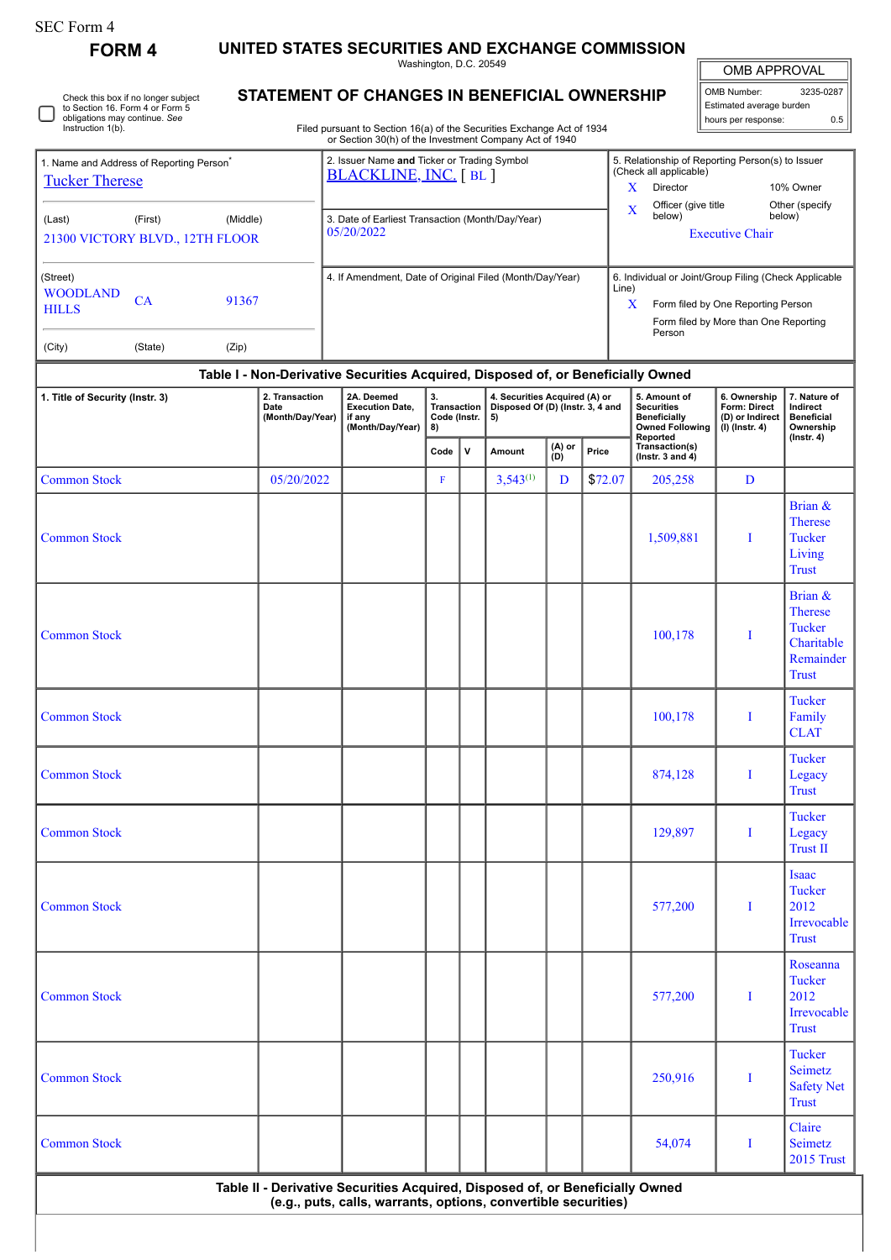| SEC Form 4 |
|------------|
|------------|

**FORM 4 UNITED STATES SECURITIES AND EXCHANGE COMMISSION**

Washington, D.C. 20549

| OMB APPROVAL |
|--------------|
|              |

| OMB Number:                | 3235-0287 |  |  |  |  |  |  |  |  |
|----------------------------|-----------|--|--|--|--|--|--|--|--|
| Estimated average burden   |           |  |  |  |  |  |  |  |  |
| hours per response:<br>ሰ 5 |           |  |  |  |  |  |  |  |  |

Check this box if no longer subject to Section 16. Form 4 or Form 5 obligations may continue. *See* Instruction 1(b). 0

## **STATEMENT OF CHANGES IN BENEFICIAL OWNERSHIP**

Filed pursuant to Section 16(a) of the Securities Exchange Act of 1934 or Section 30(h) of the Investment Company Act of 1940

| 1. Name and Address of Reporting Person <sup>7</sup> | 2. Issuer Name and Ticker or Trading Symbol<br>BLACKLINE, INC. [BL] | 5. Relationship of Reporting Person(s) to Issuer<br>(Check all applicable) |  |  |  |  |  |
|------------------------------------------------------|---------------------------------------------------------------------|----------------------------------------------------------------------------|--|--|--|--|--|
| <b>Tucker Therese</b>                                |                                                                     | X<br>Director<br>10% Owner                                                 |  |  |  |  |  |
| (Middle)<br>(Last)<br>(First)                        | 3. Date of Earliest Transaction (Month/Day/Year)                    | Officer (give title<br>Other (specify<br>$\mathbf x$<br>below)<br>below)   |  |  |  |  |  |
| 21300 VICTORY BLVD., 12TH FLOOR                      | 05/20/2022                                                          | <b>Executive Chair</b>                                                     |  |  |  |  |  |
| (Street)<br><b>WOODLAND</b>                          | 4. If Amendment, Date of Original Filed (Month/Day/Year)            | 6. Individual or Joint/Group Filing (Check Applicable<br>Line)             |  |  |  |  |  |
| СA<br>91367<br><b>HILLS</b>                          |                                                                     | X<br>Form filed by One Reporting Person                                    |  |  |  |  |  |
|                                                      |                                                                     | Form filed by More than One Reporting<br>Person                            |  |  |  |  |  |
| (Zip)<br>(City)<br>(State)                           |                                                                     |                                                                            |  |  |  |  |  |

## **Table I - Non-Derivative Securities Acquired, Disposed of, or Beneficially Owned**

| 1. Title of Security (Instr. 3) | 2. Transaction<br>Date<br>(Month/Day/Year)                                    | 2A. Deemed<br><b>Execution Date,</b><br>if any<br>(Month/Day/Year) | 3.<br><b>Transaction</b><br>Code (Instr.<br>8) |  | 4. Securities Acquired (A) or<br>Disposed Of (D) (Instr. 3, 4 and<br>5) |   |         | 5. Amount of<br><b>Securities</b><br><b>Beneficially</b><br><b>Owned Following</b> | 6. Ownership<br>Form: Direct<br>(D) or Indirect<br>$(l)$ (lnstr. 4) | 7. Nature of<br>Indirect<br><b>Beneficial</b><br>Ownership                     |  |
|---------------------------------|-------------------------------------------------------------------------------|--------------------------------------------------------------------|------------------------------------------------|--|-------------------------------------------------------------------------|---|---------|------------------------------------------------------------------------------------|---------------------------------------------------------------------|--------------------------------------------------------------------------------|--|
|                                 |                                                                               |                                                                    | Code<br>$\mathbf v$                            |  | (A) or<br>(D)<br>Amount                                                 |   | Price   | Reported<br>Transaction(s)<br>(Instr. 3 and $4$ )                                  |                                                                     | $($ Instr. 4 $)$                                                               |  |
| <b>Common Stock</b>             | 05/20/2022                                                                    |                                                                    | $\mathbf F$                                    |  | $3,543^{(1)}$                                                           | D | \$72.07 | 205,258                                                                            | D                                                                   |                                                                                |  |
| <b>Common Stock</b>             |                                                                               |                                                                    |                                                |  |                                                                         |   |         | 1,509,881                                                                          | I                                                                   | Brian &<br>Therese<br><b>Tucker</b><br>Living<br><b>Trust</b>                  |  |
| <b>Common Stock</b>             |                                                                               |                                                                    |                                                |  |                                                                         |   |         | 100,178                                                                            | I                                                                   | Brian &<br>Therese<br><b>Tucker</b><br>Charitable<br>Remainder<br><b>Trust</b> |  |
| <b>Common Stock</b>             |                                                                               |                                                                    |                                                |  |                                                                         |   |         | 100,178                                                                            | $\bf{I}$                                                            | <b>Tucker</b><br>Family<br><b>CLAT</b>                                         |  |
| <b>Common Stock</b>             |                                                                               |                                                                    |                                                |  |                                                                         |   |         | 874,128                                                                            | $\bf{I}$                                                            | <b>Tucker</b><br>Legacy<br><b>Trust</b>                                        |  |
| <b>Common Stock</b>             |                                                                               |                                                                    |                                                |  |                                                                         |   |         | 129,897                                                                            | I                                                                   | Tucker<br>Legacy<br><b>Trust II</b>                                            |  |
| <b>Common Stock</b>             |                                                                               |                                                                    |                                                |  |                                                                         |   |         | 577,200                                                                            | I                                                                   | <b>Isaac</b><br><b>Tucker</b><br>2012<br>Irrevocable<br><b>Trust</b>           |  |
| <b>Common Stock</b>             |                                                                               |                                                                    |                                                |  |                                                                         |   |         | 577,200                                                                            | I                                                                   | Roseanna<br><b>Tucker</b><br>2012<br>Irrevocable<br><b>Trust</b>               |  |
| <b>Common Stock</b>             |                                                                               |                                                                    |                                                |  |                                                                         |   |         | 250,916                                                                            | I                                                                   | Tucker<br><b>Seimetz</b><br><b>Safety Net</b><br><b>Trust</b>                  |  |
| <b>Common Stock</b>             |                                                                               |                                                                    |                                                |  |                                                                         |   |         | 54,074                                                                             | $\bf{I}$                                                            | Claire<br>Seimetz<br><b>2015 Trust</b>                                         |  |
|                                 | Table II - Derivative Securities Acquired, Disposed of, or Beneficially Owned | (e.g., puts, calls, warrants, options, convertible securities)     |                                                |  |                                                                         |   |         |                                                                                    |                                                                     |                                                                                |  |